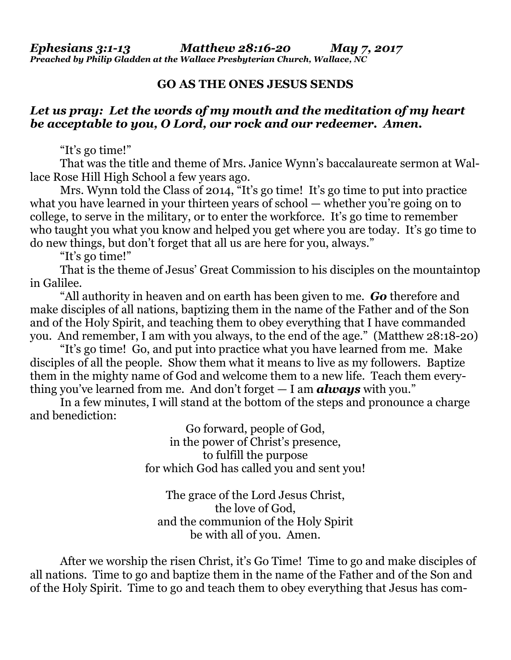## **GO AS THE ONES JESUS SENDS**

## *Let us pray: Let the words of my mouth and the meditation of my heart be acceptable to you, O Lord, our rock and our redeemer. Amen.*

"It's go time!"

That was the title and theme of Mrs. Janice Wynn's baccalaureate sermon at Wallace Rose Hill High School a few years ago.

Mrs. Wynn told the Class of 2014, "It's go time! It's go time to put into practice what you have learned in your thirteen years of school — whether you're going on to college, to serve in the military, or to enter the workforce. It's go time to remember who taught you what you know and helped you get where you are today. It's go time to do new things, but don't forget that all us are here for you, always."

"It's go time!"

That is the theme of Jesus' Great Commission to his disciples on the mountaintop in Galilee.

"All authority in heaven and on earth has been given to me. *Go* therefore and make disciples of all nations, baptizing them in the name of the Father and of the Son and of the Holy Spirit, and teaching them to obey everything that I have commanded you. And remember, I am with you always, to the end of the age." (Matthew 28:18-20)

"It's go time! Go, and put into practice what you have learned from me. Make disciples of all the people. Show them what it means to live as my followers. Baptize them in the mighty name of God and welcome them to a new life. Teach them everything you've learned from me. And don't forget — I am *always* with you."

In a few minutes, I will stand at the bottom of the steps and pronounce a charge and benediction:

> Go forward, people of God, in the power of Christ's presence, to fulfill the purpose for which God has called you and sent you!

The grace of the Lord Jesus Christ, the love of God, and the communion of the Holy Spirit be with all of you. Amen.

After we worship the risen Christ, it's Go Time! Time to go and make disciples of all nations. Time to go and baptize them in the name of the Father and of the Son and of the Holy Spirit. Time to go and teach them to obey everything that Jesus has com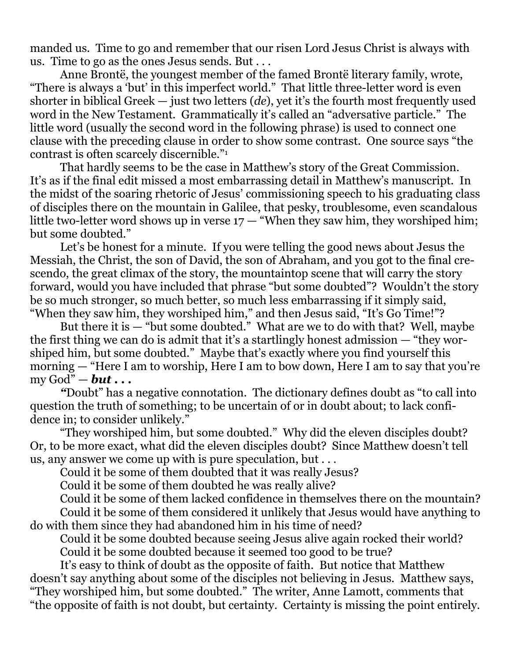manded us. Time to go and remember that our risen Lord Jesus Christ is always with us. Time to go as the ones Jesus sends. But . . .

Anne Brontë, the youngest member of the famed Brontë literary family, wrote, "There is always a 'but' in this imperfect world." That little three-letter word is even shorter in biblical Greek — just two letters (*de*), yet it's the fourth most frequently used word in the New Testament. Grammatically it's called an "adversative particle." The little word (usually the second word in the following phrase) is used to connect one clause with the preceding clause in order to show some contrast. One source says "the contrast is often scarcely discernible."<sup>1</sup>

That hardly seems to be the case in Matthew's story of the Great Commission. It's as if the final edit missed a most embarrassing detail in Matthew's manuscript. In the midst of the soaring rhetoric of Jesus' commissioning speech to his graduating class of disciples there on the mountain in Galilee, that pesky, troublesome, even scandalous little two-letter word shows up in verse  $17 -$  "When they saw him, they worshiped him; but some doubted."

Let's be honest for a minute. If you were telling the good news about Jesus the Messiah, the Christ, the son of David, the son of Abraham, and you got to the final crescendo, the great climax of the story, the mountaintop scene that will carry the story forward, would you have included that phrase "but some doubted"? Wouldn't the story be so much stronger, so much better, so much less embarrassing if it simply said, "When they saw him, they worshiped him," and then Jesus said, "It's Go Time!"?

But there it is  $-$  "but some doubted." What are we to do with that? Well, maybe the first thing we can do is admit that it's a startlingly honest admission — "they worshiped him, but some doubted." Maybe that's exactly where you find yourself this morning — "Here I am to worship, Here I am to bow down, Here I am to say that you're my God"  $-$  *but*  $\ldots$ 

*"*Doubt" has a negative connotation. The dictionary defines doubt as "to call into question the truth of something; to be uncertain of or in doubt about; to lack confidence in; to consider unlikely."

"They worshiped him, but some doubted." Why did the eleven disciples doubt? Or, to be more exact, what did the eleven disciples doubt? Since Matthew doesn't tell us, any answer we come up with is pure speculation, but . . .

Could it be some of them doubted that it was really Jesus?

Could it be some of them doubted he was really alive?

Could it be some of them lacked confidence in themselves there on the mountain? Could it be some of them considered it unlikely that Jesus would have anything to do with them since they had abandoned him in his time of need?

Could it be some doubted because seeing Jesus alive again rocked their world? Could it be some doubted because it seemed too good to be true?

It's easy to think of doubt as the opposite of faith. But notice that Matthew doesn't say anything about some of the disciples not believing in Jesus. Matthew says, "They worshiped him, but some doubted." The writer, Anne Lamott, comments that "the opposite of faith is not doubt, but certainty. Certainty is missing the point entirely.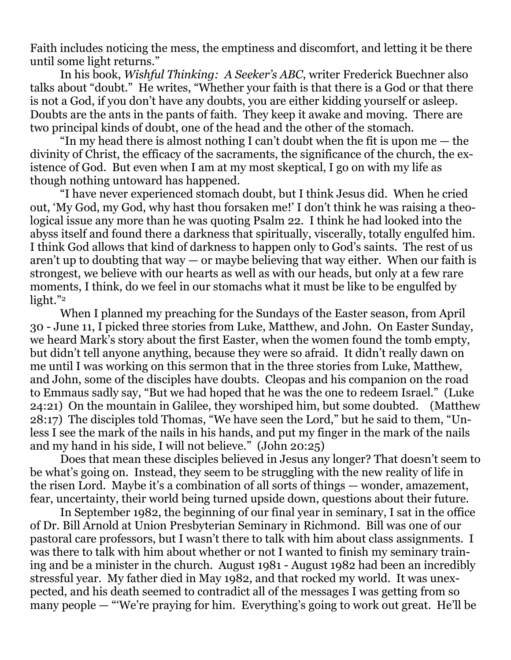Faith includes noticing the mess, the emptiness and discomfort, and letting it be there until some light returns."

In his book, *Wishful Thinking: A Seeker's ABC*, writer Frederick Buechner also talks about "doubt." He writes, "Whether your faith is that there is a God or that there is not a God, if you don't have any doubts, you are either kidding yourself or asleep. Doubts are the ants in the pants of faith. They keep it awake and moving. There are two principal kinds of doubt, one of the head and the other of the stomach.

"In my head there is almost nothing I can't doubt when the fit is upon me  $-$  the divinity of Christ, the efficacy of the sacraments, the significance of the church, the existence of God. But even when I am at my most skeptical, I go on with my life as though nothing untoward has happened.

"I have never experienced stomach doubt, but I think Jesus did. When he cried out, 'My God, my God, why hast thou forsaken me!' I don't think he was raising a theological issue any more than he was quoting Psalm 22. I think he had looked into the abyss itself and found there a darkness that spiritually, viscerally, totally engulfed him. I think God allows that kind of darkness to happen only to God's saints. The rest of us aren't up to doubting that way  $-$  or maybe believing that way either. When our faith is strongest, we believe with our hearts as well as with our heads, but only at a few rare moments, I think, do we feel in our stomachs what it must be like to be engulfed by light."<sup>2</sup>

When I planned my preaching for the Sundays of the Easter season, from April 30 - June 11, I picked three stories from Luke, Matthew, and John. On Easter Sunday, we heard Mark's story about the first Easter, when the women found the tomb empty, but didn't tell anyone anything, because they were so afraid. It didn't really dawn on me until I was working on this sermon that in the three stories from Luke, Matthew, and John, some of the disciples have doubts. Cleopas and his companion on the road to Emmaus sadly say, "But we had hoped that he was the one to redeem Israel." (Luke 24:21) On the mountain in Galilee, they worshiped him, but some doubted. (Matthew 28:17) The disciples told Thomas, "We have seen the Lord," but he said to them, "Unless I see the mark of the nails in his hands, and put my finger in the mark of the nails and my hand in his side, I will not believe." (John 20:25)

Does that mean these disciples believed in Jesus any longer? That doesn't seem to be what's going on. Instead, they seem to be struggling with the new reality of life in the risen Lord. Maybe it's a combination of all sorts of things — wonder, amazement, fear, uncertainty, their world being turned upside down, questions about their future.

In September 1982, the beginning of our final year in seminary, I sat in the office of Dr. Bill Arnold at Union Presbyterian Seminary in Richmond. Bill was one of our pastoral care professors, but I wasn't there to talk with him about class assignments. I was there to talk with him about whether or not I wanted to finish my seminary training and be a minister in the church. August 1981 - August 1982 had been an incredibly stressful year. My father died in May 1982, and that rocked my world. It was unexpected, and his death seemed to contradict all of the messages I was getting from so many people — "'We're praying for him. Everything's going to work out great. He'll be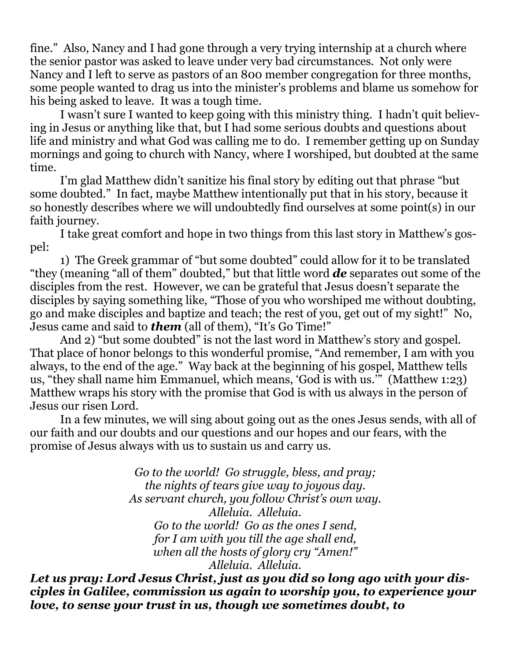fine." Also, Nancy and I had gone through a very trying internship at a church where the senior pastor was asked to leave under very bad circumstances. Not only were Nancy and I left to serve as pastors of an 800 member congregation for three months, some people wanted to drag us into the minister's problems and blame us somehow for his being asked to leave. It was a tough time.

I wasn't sure I wanted to keep going with this ministry thing. I hadn't quit believing in Jesus or anything like that, but I had some serious doubts and questions about life and ministry and what God was calling me to do. I remember getting up on Sunday mornings and going to church with Nancy, where I worshiped, but doubted at the same time.

I'm glad Matthew didn't sanitize his final story by editing out that phrase "but some doubted." In fact, maybe Matthew intentionally put that in his story, because it so honestly describes where we will undoubtedly find ourselves at some point(s) in our faith journey.

I take great comfort and hope in two things from this last story in Matthew's gospel:

1) The Greek grammar of "but some doubted" could allow for it to be translated "they (meaning "all of them" doubted," but that little word *de* separates out some of the disciples from the rest. However, we can be grateful that Jesus doesn't separate the disciples by saying something like, "Those of you who worshiped me without doubting, go and make disciples and baptize and teach; the rest of you, get out of my sight!" No, Jesus came and said to *them* (all of them), "It's Go Time!"

And 2) "but some doubted" is not the last word in Matthew's story and gospel. That place of honor belongs to this wonderful promise, "And remember, I am with you always, to the end of the age." Way back at the beginning of his gospel, Matthew tells us, "they shall name him Emmanuel, which means, 'God is with us.'" (Matthew 1:23) Matthew wraps his story with the promise that God is with us always in the person of Jesus our risen Lord.

In a few minutes, we will sing about going out as the ones Jesus sends, with all of our faith and our doubts and our questions and our hopes and our fears, with the promise of Jesus always with us to sustain us and carry us.

> *Go to the world! Go struggle, bless, and pray; the nights of tears give way to joyous day. As servant church, you follow Christ's own way. Alleluia. Alleluia. Go to the world! Go as the ones I send, for I am with you till the age shall end, when all the hosts of glory cry "Amen!" Alleluia. Alleluia.*

*Let us pray: Lord Jesus Christ, just as you did so long ago with your disciples in Galilee, commission us again to worship you, to experience your love, to sense your trust in us, though we sometimes doubt, to*